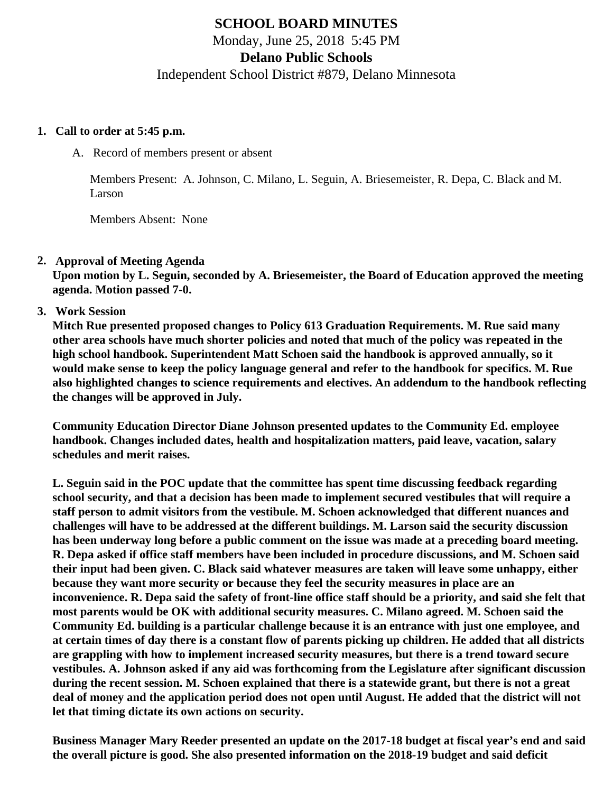# **SCHOOL BOARD MINUTES**

Monday, June 25, 2018 5:45 PM

**Delano Public Schools**

Independent School District #879, Delano Minnesota

#### **1. Call to order at 5:45 p.m.**

A. Record of members present or absent

Members Present: A. Johnson, C. Milano, L. Seguin, A. Briesemeister, R. Depa, C. Black and M. Larson

Members Absent: None

## **2. Approval of Meeting Agenda**

**Upon motion by L. Seguin, seconded by A. Briesemeister, the Board of Education approved the meeting agenda. Motion passed 7-0.**

**3. Work Session**

**Mitch Rue presented proposed changes to Policy 613 Graduation Requirements. M. Rue said many other area schools have much shorter policies and noted that much of the policy was repeated in the high school handbook. Superintendent Matt Schoen said the handbook is approved annually, so it would make sense to keep the policy language general and refer to the handbook for specifics. M. Rue also highlighted changes to science requirements and electives. An addendum to the handbook reflecting the changes will be approved in July.**

**Community Education Director Diane Johnson presented updates to the Community Ed. employee handbook. Changes included dates, health and hospitalization matters, paid leave, vacation, salary schedules and merit raises.**

**L. Seguin said in the POC update that the committee has spent time discussing feedback regarding school security, and that a decision has been made to implement secured vestibules that will require a staff person to admit visitors from the vestibule. M. Schoen acknowledged that different nuances and challenges will have to be addressed at the different buildings. M. Larson said the security discussion has been underway long before a public comment on the issue was made at a preceding board meeting. R. Depa asked if office staff members have been included in procedure discussions, and M. Schoen said their input had been given. C. Black said whatever measures are taken will leave some unhappy, either because they want more security or because they feel the security measures in place are an inconvenience. R. Depa said the safety of front-line office staff should be a priority, and said she felt that most parents would be OK with additional security measures. C. Milano agreed. M. Schoen said the Community Ed. building is a particular challenge because it is an entrance with just one employee, and at certain times of day there is a constant flow of parents picking up children. He added that all districts are grappling with how to implement increased security measures, but there is a trend toward secure vestibules. A. Johnson asked if any aid was forthcoming from the Legislature after significant discussion during the recent session. M. Schoen explained that there is a statewide grant, but there is not a great deal of money and the application period does not open until August. He added that the district will not let that timing dictate its own actions on security.**

**Business Manager Mary Reeder presented an update on the 2017-18 budget at fiscal year's end and said the overall picture is good. She also presented information on the 2018-19 budget and said deficit**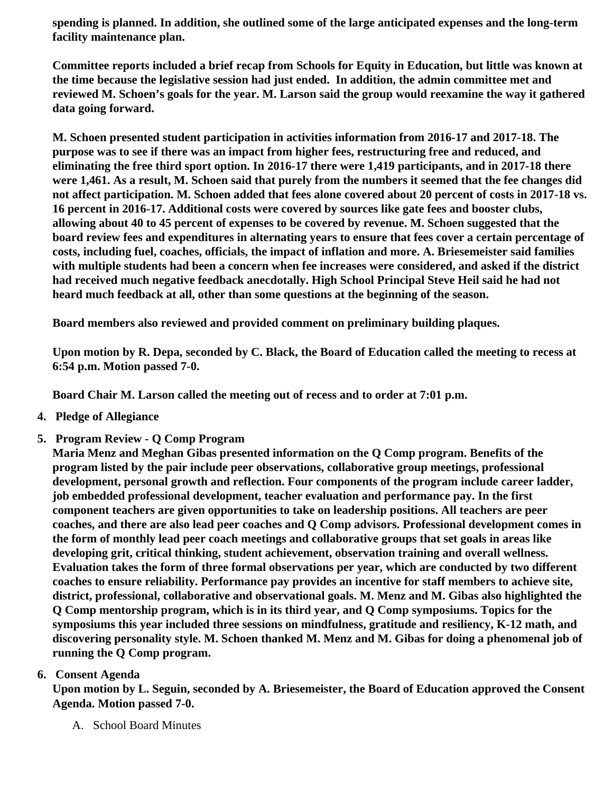**spending is planned. In addition, she outlined some of the large anticipated expenses and the long-term facility maintenance plan.**

**Committee reports included a brief recap from Schools for Equity in Education, but little was known at the time because the legislative session had just ended. In addition, the admin committee met and reviewed M. Schoen's goals for the year. M. Larson said the group would reexamine the way it gathered data going forward.**

**M. Schoen presented student participation in activities information from 2016-17 and 2017-18. The purpose was to see if there was an impact from higher fees, restructuring free and reduced, and eliminating the free third sport option. In 2016-17 there were 1,419 participants, and in 2017-18 there were 1,461. As a result, M. Schoen said that purely from the numbers it seemed that the fee changes did not affect participation. M. Schoen added that fees alone covered about 20 percent of costs in 2017-18 vs. 16 percent in 2016-17. Additional costs were covered by sources like gate fees and booster clubs, allowing about 40 to 45 percent of expenses to be covered by revenue. M. Schoen suggested that the board review fees and expenditures in alternating years to ensure that fees cover a certain percentage of costs, including fuel, coaches, officials, the impact of inflation and more. A. Briesemeister said families with multiple students had been a concern when fee increases were considered, and asked if the district had received much negative feedback anecdotally. High School Principal Steve Heil said he had not heard much feedback at all, other than some questions at the beginning of the season.**

**Board members also reviewed and provided comment on preliminary building plaques.**

**Upon motion by R. Depa, seconded by C. Black, the Board of Education called the meeting to recess at 6:54 p.m. Motion passed 7-0.**

**Board Chair M. Larson called the meeting out of recess and to order at 7:01 p.m.**

- **4. Pledge of Allegiance**
- **5. Program Review Q Comp Program**

**Maria Menz and Meghan Gibas presented information on the Q Comp program. Benefits of the program listed by the pair include peer observations, collaborative group meetings, professional development, personal growth and reflection. Four components of the program include career ladder, job embedded professional development, teacher evaluation and performance pay. In the first component teachers are given opportunities to take on leadership positions. All teachers are peer coaches, and there are also lead peer coaches and Q Comp advisors. Professional development comes in the form of monthly lead peer coach meetings and collaborative groups that set goals in areas like developing grit, critical thinking, student achievement, observation training and overall wellness. Evaluation takes the form of three formal observations per year, which are conducted by two different coaches to ensure reliability. Performance pay provides an incentive for staff members to achieve site, district, professional, collaborative and observational goals. M. Menz and M. Gibas also highlighted the Q Comp mentorship program, which is in its third year, and Q Comp symposiums. Topics for the symposiums this year included three sessions on mindfulness, gratitude and resiliency, K-12 math, and discovering personality style. M. Schoen thanked M. Menz and M. Gibas for doing a phenomenal job of running the Q Comp program.**

# **6. Consent Agenda**

**Upon motion by L. Seguin, seconded by A. Briesemeister, the Board of Education approved the Consent Agenda. Motion passed 7-0.**

A. School Board Minutes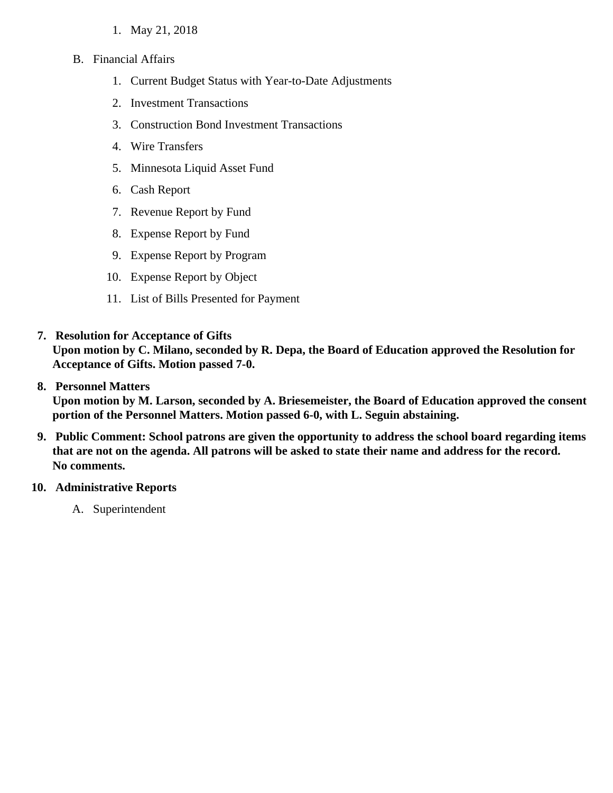- 1. May 21, 2018
- B. Financial Affairs
	- 1. Current Budget Status with Year-to-Date Adjustments
	- 2. Investment Transactions
	- 3. Construction Bond Investment Transactions
	- 4. Wire Transfers
	- 5. Minnesota Liquid Asset Fund
	- 6. Cash Report
	- 7. Revenue Report by Fund
	- 8. Expense Report by Fund
	- 9. Expense Report by Program
	- 10. Expense Report by Object
	- 11. List of Bills Presented for Payment

#### **7. Resolution for Acceptance of Gifts**

**Upon motion by C. Milano, seconded by R. Depa, the Board of Education approved the Resolution for Acceptance of Gifts. Motion passed 7-0.**

#### **8. Personnel Matters**

**Upon motion by M. Larson, seconded by A. Briesemeister, the Board of Education approved the consent portion of the Personnel Matters. Motion passed 6-0, with L. Seguin abstaining.**

**9. Public Comment: School patrons are given the opportunity to address the school board regarding items that are not on the agenda. All patrons will be asked to state their name and address for the record. No comments.**

## **10. Administrative Reports**

A. Superintendent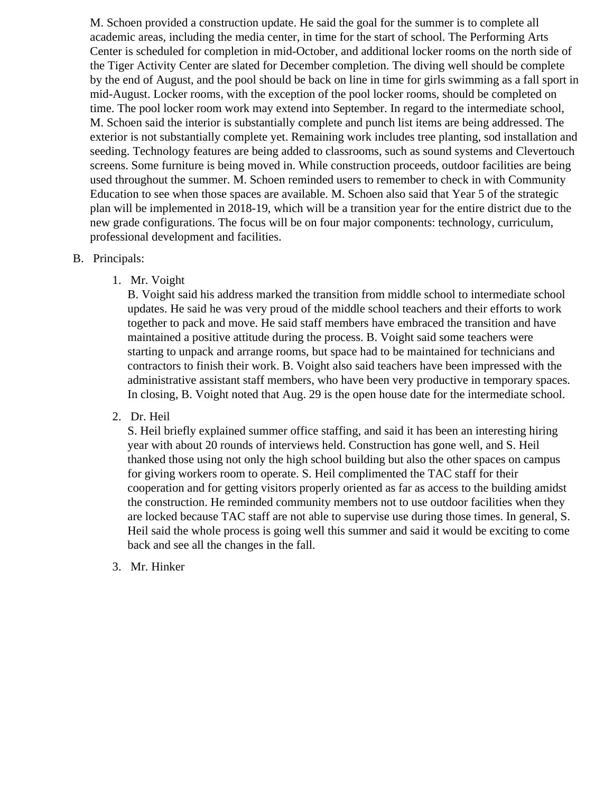M. Schoen provided a construction update. He said the goal for the summer is to complete all academic areas, including the media center, in time for the start of school. The Performing Arts Center is scheduled for completion in mid-October, and additional locker rooms on the north side of the Tiger Activity Center are slated for December completion. The diving well should be complete by the end of August, and the pool should be back on line in time for girls swimming as a fall sport in mid-August. Locker rooms, with the exception of the pool locker rooms, should be completed on time. The pool locker room work may extend into September. In regard to the intermediate school, M. Schoen said the interior is substantially complete and punch list items are being addressed. The exterior is not substantially complete yet. Remaining work includes tree planting, sod installation and seeding. Technology features are being added to classrooms, such as sound systems and Clevertouch screens. Some furniture is being moved in. While construction proceeds, outdoor facilities are being used throughout the summer. M. Schoen reminded users to remember to check in with Community Education to see when those spaces are available. M. Schoen also said that Year 5 of the strategic plan will be implemented in 2018-19, which will be a transition year for the entire district due to the new grade configurations. The focus will be on four major components: technology, curriculum, professional development and facilities.

- B. Principals:
	- 1. Mr. Voight

B. Voight said his address marked the transition from middle school to intermediate school updates. He said he was very proud of the middle school teachers and their efforts to work together to pack and move. He said staff members have embraced the transition and have maintained a positive attitude during the process. B. Voight said some teachers were starting to unpack and arrange rooms, but space had to be maintained for technicians and contractors to finish their work. B. Voight also said teachers have been impressed with the administrative assistant staff members, who have been very productive in temporary spaces. In closing, B. Voight noted that Aug. 29 is the open house date for the intermediate school.

2. Dr. Heil

S. Heil briefly explained summer office staffing, and said it has been an interesting hiring year with about 20 rounds of interviews held. Construction has gone well, and S. Heil thanked those using not only the high school building but also the other spaces on campus for giving workers room to operate. S. Heil complimented the TAC staff for their cooperation and for getting visitors properly oriented as far as access to the building amidst the construction. He reminded community members not to use outdoor facilities when they are locked because TAC staff are not able to supervise use during those times. In general, S. Heil said the whole process is going well this summer and said it would be exciting to come back and see all the changes in the fall.

3. Mr. Hinker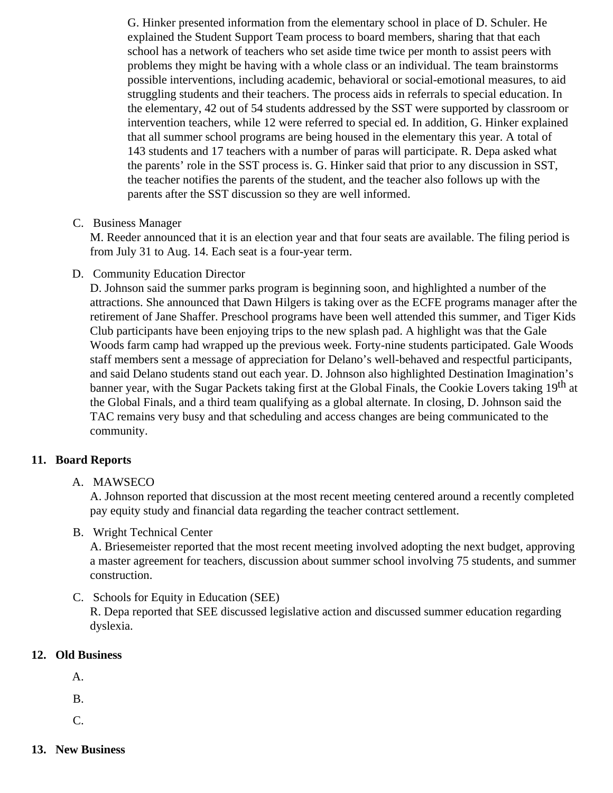G. Hinker presented information from the elementary school in place of D. Schuler. He explained the Student Support Team process to board members, sharing that that each school has a network of teachers who set aside time twice per month to assist peers with problems they might be having with a whole class or an individual. The team brainstorms possible interventions, including academic, behavioral or social-emotional measures, to aid struggling students and their teachers. The process aids in referrals to special education. In the elementary, 42 out of 54 students addressed by the SST were supported by classroom or intervention teachers, while 12 were referred to special ed. In addition, G. Hinker explained that all summer school programs are being housed in the elementary this year. A total of 143 students and 17 teachers with a number of paras will participate. R. Depa asked what the parents' role in the SST process is. G. Hinker said that prior to any discussion in SST, the teacher notifies the parents of the student, and the teacher also follows up with the parents after the SST discussion so they are well informed.

C. Business Manager

M. Reeder announced that it is an election year and that four seats are available. The filing period is from July 31 to Aug. 14. Each seat is a four-year term.

D. Community Education Director

D. Johnson said the summer parks program is beginning soon, and highlighted a number of the attractions. She announced that Dawn Hilgers is taking over as the ECFE programs manager after the retirement of Jane Shaffer. Preschool programs have been well attended this summer, and Tiger Kids Club participants have been enjoying trips to the new splash pad. A highlight was that the Gale Woods farm camp had wrapped up the previous week. Forty-nine students participated. Gale Woods staff members sent a message of appreciation for Delano's well-behaved and respectful participants, and said Delano students stand out each year. D. Johnson also highlighted Destination Imagination's banner year, with the Sugar Packets taking first at the Global Finals, the Cookie Lovers taking 19<sup>th</sup> at the Global Finals, and a third team qualifying as a global alternate. In closing, D. Johnson said the TAC remains very busy and that scheduling and access changes are being communicated to the community.

## **11. Board Reports**

## A. MAWSECO

A. Johnson reported that discussion at the most recent meeting centered around a recently completed pay equity study and financial data regarding the teacher contract settlement.

B. Wright Technical Center

A. Briesemeister reported that the most recent meeting involved adopting the next budget, approving a master agreement for teachers, discussion about summer school involving 75 students, and summer construction.

C. Schools for Equity in Education (SEE)

R. Depa reported that SEE discussed legislative action and discussed summer education regarding dyslexia.

## **12. Old Business**

A.

B.

C.